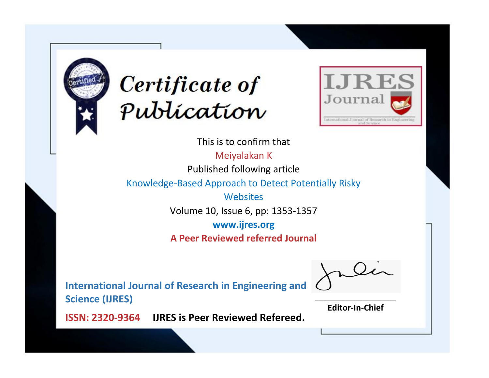



This is to confirm that

Meiyalakan K

Published following article

Knowledge-Based Approach to Detect Potentially Risky

**Websites** 

Volume 10, Issue 6, pp: 1353-1357

**www.ijres.org**

**A Peer Reviewed referred Journal**

**International Journal of Research in Engineering and Science (IJRES)**

\_\_\_\_\_\_\_\_\_\_\_\_\_\_\_\_\_\_\_\_\_\_\_\_ **Editor-In-Chief**

**Journal.**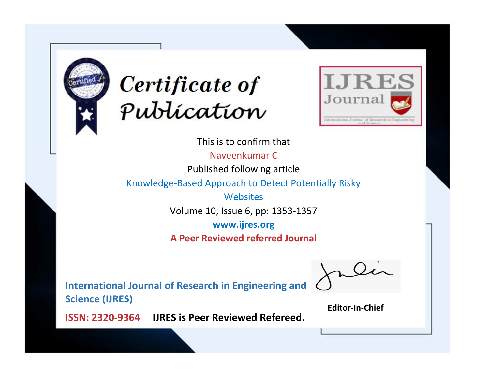



This is to confirm that

Naveenkumar C

Published following article

Knowledge-Based Approach to Detect Potentially Risky

**Websites** 

Volume 10, Issue 6, pp: 1353-1357

**www.ijres.org**

**A Peer Reviewed referred Journal**

**International Journal of Research in Engineering and Science (IJRES)**

\_\_\_\_\_\_\_\_\_\_\_\_\_\_\_\_\_\_\_\_\_\_\_\_ **Editor-In-Chief**

**Journal.**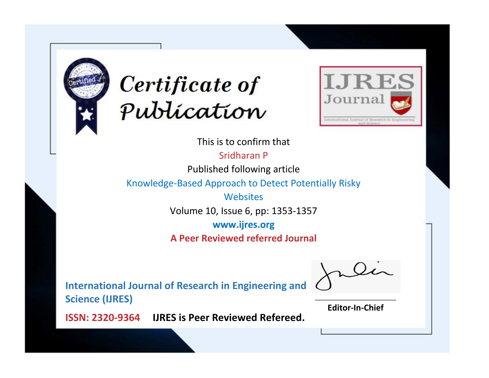



This is to confirm that

Sridharan P

Published following article

Knowledge-Based Approach to Detect Potentially Risky

**Websites** 

Volume 10, Issue 6, pp: 1353-1357

**www.ijres.org**

**A Peer Reviewed referred Journal**

**International Journal of Research in Engineering and Science (IJRES)**

\_\_\_\_\_\_\_\_\_\_\_\_\_\_\_\_\_\_\_\_\_\_\_\_ **Editor-In-Chief**

**Journal.**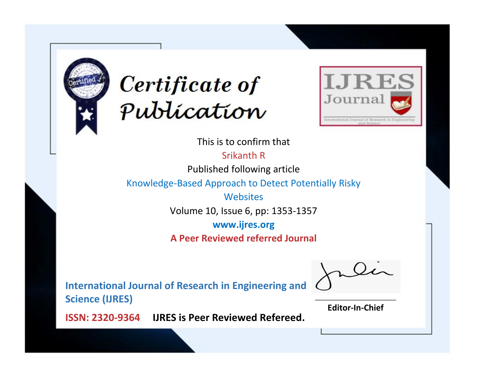



This is to confirm that

Srikanth R

Published following article

Knowledge-Based Approach to Detect Potentially Risky

**Websites** 

Volume 10, Issue 6, pp: 1353-1357

**www.ijres.org**

**A Peer Reviewed referred Journal**

**International Journal of Research in Engineering and Science (IJRES)**

\_\_\_\_\_\_\_\_\_\_\_\_\_\_\_\_\_\_\_\_\_\_\_\_ **Editor-In-Chief**

**Journal.**